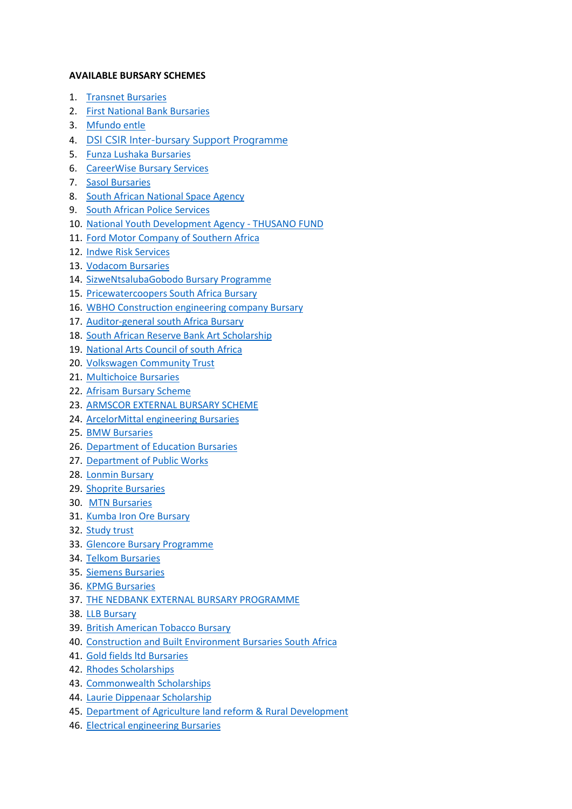## **AVAILABLE BURSARY SCHEMES**

- 1. [Transnet Bursaries](https://www.studentroom.co.za/transnet-bursaries-2022/?fbclid=IwAR0sI7IbegL2ZHbS1dKC1goGV203YvWgJueECoJWp0QOgclI7xN4Vmqqstw)
- 2. [First National Bank Bursaries](https://www.fnb.co.za/graduates/looking-for-bursary.html)
- 3. [Mfundo entle](https://www.imfundoenhle.co.za/apply/)
- 4. [DSI CSIR Inter-bursary Support Programme](https://l.facebook.com/l.php?u=https%3A%2F%2Fwww.csir.auraams.app%2F%3Ffbclid%3DIwAR0qRJ8sGV0PKQQrkIACB_1qMz0d2aiMvxSnpG_qQuJkCUtk3Y00_GfpLLw&h=AT3ZDQFwaAdNnsP28xLyHXYy2D0mC3qi9MNd_zyEQtBqLWcsowsLoqoQEhxVBCdenYOPwfoBdDHF06DqGuE_eZSh_VXvU6U9g0K0sw4fnSEXlqtMlulgJ4sEStyXU2r2FVyB&__tn__=-UK-R&c%5b0%5d=AT1OpMLV1Z1vng3_pyQm8s8OI7EXk7YIHs1734S-WcOU7_B-GTus0rKclTVPkfyHF6PjlsUwK6cAKoNGjA0PFuHukLBVcnJFlB7cyUsxFAb5g0s4hkSZ7BTLu755i-e8tMPRefPW89ZPi1xvVp5rrUOUFtfxkTBnR_AYJT3tbNu-t2SJvMkVy-cVv8X4A4HqfNH1cBqb)
- 5. [Funza Lushaka Bursaries](https://forms.office.com/Pages/ResponsePage.aspx?id=f790rsPPYEeh_gcxr6pVAhJlmtb5hz5FiPdS4qjWtfdUNDk3QzVTUTNSWVY2VVJZUldPNEhERjdQNy4u)
- 6. [CareerWise Bursary Services](https://www.zabursaries.co.za/wp-content/uploads/2018/06/CareerWise-Bursary-Application-Form-2.pdf)
- 7. [Sasol Bursaries](https://www.sasolbursaries.com/welcome/under-graduate/)
- 8. [South African National Space Agency](https://www.sansa.org.za/bursaries/application/)
- 9. [South African Police Services](https://bursaries-southafrica.co.za/saps-bursaries-south-african-police-services/)
- 10. [National Youth Development Agency -](http://nydawebsite.azurewebsites.net/Portals/0/Downloads/Forms/Thusano%20Fund%20Application%20Form.pdf) THUSANO FUND
- 11. [Ford Motor Company of Southern Africa](https://www.zabursaries.co.za/wp-content/uploads/2016/06/FMCSA-Ford-Bursary-Application-Form.pdf)
- 12. [Indwe Risk Services](https://www.zabursaries.co.za/wp-content/uploads/2018/05/Indwe-Risk-Services-Bursary-Application-Form.pdf)
- 13. [Vodacom Bursaries](https://www.zabursaries.co.za/wp-content/uploads/2021/04/Vodacom-Bursary-Application-Form-2021.pdf)
- 14. [SizweNtsalubaGobodo Bursary Programme](https://www.zabursaries.co.za/accounting-bursaries-south-africa/sizwentsalubagobodo-bursary/)
- 15. [Pricewatercoopers South Africa Bursary](https://www.zabursaries.co.za/accounting-bursaries-south-africa/pricewaterhousecoopers-bursary-south-africa/)
- 16. [WBHO Construction engineering company Bursary](https://www.zabursaries.co.za/wp-content/uploads/2021/06/WBHO-Bursary-Application-Form-2021.pdf)
- 17. [Auditor-general south Africa Bursary](https://www.zabursaries.co.za/accounting-bursaries-south-africa/auditor-general-bursary/)
- 18. [South African Reserve Bank Art Scholarship](https://www.zabursaries.co.za/wp-content/uploads/2021/03/SARB-Art-Scholarship-Application-Form-1.pdf)
- 19. [National Arts Council of south Africa](https://www.nac.org.za/funding-overview/)
- 20. [Volkswagen Community Trust](https://www.zabursaries.co.za/commerce-bursaries-south-africa/volkswagen-community-trust-bursary/)
- 21. [Multichoice Bursaries](https://www.multichoice.com/careers/bursary-program/)
- 22. [Afrisam Bursary Scheme](https://www.afrisam.co.za/afrisam-bursary-scheme)
- 23. [ARMSCOR EXTERNAL BURSARY SCHEME](https://www.armscor.co.za/?page_id=51629)
- 24. [ArcelorMittal engineering Bursaries](https://arcelormittalsa.com/Peopleamp;Careers/Bursaries/EngineeringBursaries.aspx)
- 25. [BMW Bursaries](https://www.bmwgroup.jobs/za/en/opportunities/student.html#jobType=INTERNSHIP,SUMMER_JOB,COOPERATIVE&&location=ZA,ZA/OTHER)
- 26. [Department of Education Bursaries](https://brainy99.com/department-of-education-bursaries/?gclid=CjwKCAjwi9-HBhACEiwAPzUhHDfFfDApGmMN4mxe-4o9EJ83p4ehhMGvkSOSXA7OWiXh4ogHTc0YDRoCILAQAvD_BwE#google_vignette)
- 27. [Department of Public Works](https://www.zabursaries.co.za/wp-content/uploads/2018/05/DPW-Bursary-Application-Form.pdf)
- 28. [Lonmin Bursary](https://mytopschools.com/lonmin-bursaries/#Lonmin_Bursary_Online_Application)
- 29. [Shoprite Bursaries](https://shoprite-bursary.erecruit.co/candidateapp/jobs/browse/)
- 30. [MTN Bursaries](https://bursaries-southafrica.co.za/mtn-bursaries/)
- 31. [Kumba Iron Ore Bursary](https://www.angloamericankumba.com/careers/graduates-and-bursaries)
- 32. [Study trust](https://www.bursaries.xhuma.io/start)
- 33. [Glencore Bursary Programme](https://www.zabursaries.co.za/engineering-bursaries-south-africa/glencore-plc-bursary/)
- 34. [Telkom Bursaries](https://bursaries-southafrica.co.za/telkom-bursaries/)
- 35. [Siemens Bursaries](https://www.zabursaries.co.za/engineering-bursaries-south-africa/siemens-bursary/)
- 36. [KPMG Bursaries](https://home.kpmg/za/en/home/careers/bursaries.html)
- 37. [THE NEDBANK EXTERNAL BURSARY PROGRAMME](https://www.nedbank.co.za/content/nedbank/desktop/gt/en/careers/youth-talent/the-bursary-programme.html)
- 38. [LLB Bursary](http://www.fidfund.co.za/bursaries/)
- 39. [British American Tobacco Bursary](https://www.zabursaries.co.za/general-bursaries-south-africa/british-american-tobacco-bursary/)
- 40. [Construction and Built Environment Bursaries South Africa](https://www.zabursaries.co.za/construction-and-built-environment-bursaries-south-africa/construction-education-and-training-authority-ceta-bursary/)
- 41. [Gold fields ltd Bursaries](https://www.zabursaries.co.za/engineering-bursaries-south-africa/gold-fields-ltd-bursary/)
- 42. [Rhodes Scholarships](https://www.rhodeshouse.ox.ac.uk/scholarships/apply/)
- 43. [Commonwealth Scholarships](https://cscuk.fcdo.gov.uk/scholarships-filter-search/)
- 44. [Laurie Dippenaar Scholarship](https://bursaries.firstrand.co.za/(X(1)S(evhwjd0rtyhcjknclalyt3dm))/Bursary/FirstRandLaurieDippenaarScholarship?AspxAutoDetectCookieSupport=1)
- 45. [Department of Agriculture land reform & Rural Development](https://www.zabursaries.co.za/wp-content/uploads/2021/07/DALRRD-Bursary-Application-Form-Undergraduate.pdf)
- 46. [Electrical engineering Bursaries](https://bursaries-southafrica.co.za/bursaries-electrical-engineering/)